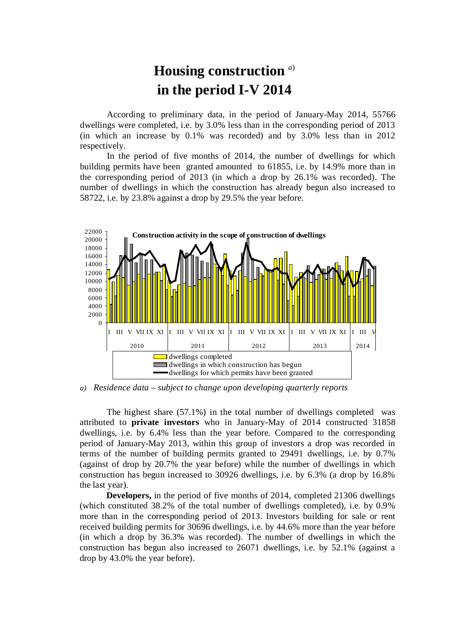## **Housing construction** *<sup>a</sup>*) **in the period I-V 2014**

According to preliminary data, in the period of January-May 2014, 55766 dwellings were completed, i.e. by 3.0% less than in the corresponding period of 2013 (in which an increase by 0.1% was recorded) and by 3.0% less than in 2012 respectively.

In the period of five months of 2014, the number of dwellings for which building permits have been granted amounted to 61855, i.e. by 14.9% more than in the corresponding period of 2013 (in which a drop by 26.1% was recorded). The number of dwellings in which the construction has already begun also increased to 58722, i.e. by 23.8% against a drop by 29.5% the year before.



*a) Residence data – subject to change upon developing quarterly reports*

The highest share (57.1%) in the total number of dwellings completed was attributed to **private investors** who in January-May of 2014 constructed 31858 dwellings, i.e. by 6.4% less than the year before. Compared to the corresponding period of January-May 2013, within this group of investors a drop was recorded in terms of the number of building permits granted to 29491 dwellings, i.e. by 0.7% (against of drop by 20.7% the year before) while the number of dwellings in which construction has begun increased to 30926 dwellings, i.e. by 6.3% (a drop by 16.8% the last year).

**Developers,** in the period of five months of 2014, completed 21306 dwellings (which constituted 38.2% of the total number of dwellings completed), i.e. by 0.9% more than in the corresponding period of 2013. Investors building for sale or rent received building permits for 30696 dwellings, i.e. by 44.6% more than the year before (in which a drop by 36.3% was recorded). The number of dwellings in which the construction has begun also increased to 26071 dwellings, i.e. by 52.1% (against a drop by 43.0% the year before).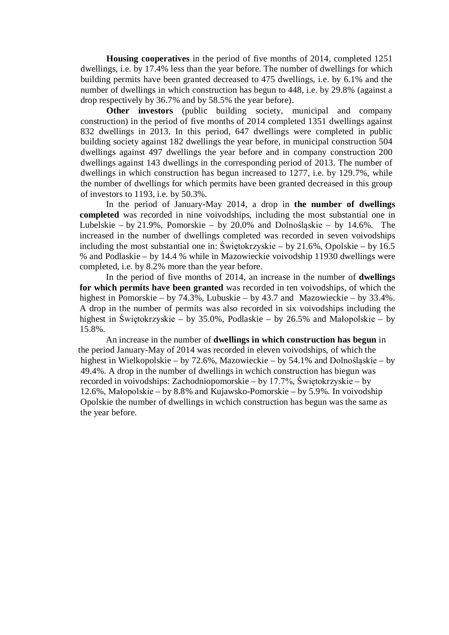**Housing cooperatives** in the period of five months of 2014, completed 1251 dwellings, i.e. by 17.4% less than the year before. The number of dwellings for which building permits have been granted decreased to 475 dwellings, i.e. by 6.1% and the number of dwellings in which construction has begun to 448, i.e. by 29.8% (against a drop respectively by 36.7% and by 58.5% the year before).

**Other investors** (public building society, municipal and company construction) in the period of five months of 2014 completed 1351 dwellings against 832 dwellings in 2013. In this period, 647 dwellings were completed in public building society against 182 dwellings the year before, in municipal construction 504 dwellings against 497 dwellings the year before and in company construction 200 dwellings against 143 dwellings in the corresponding period of 2013. The number of dwellings in which construction has begun increased to 1277, i.e. by 129.7%, while the number of dwellings for which permits have been granted decreased in this group of investors to 1193, i.e. by 50.3%.

In the period of January-May 2014, a drop in **the number of dwellings completed** was recorded in nine voivodships, including the most substantial one in Lubelskie – by 21.9%, Pomorskie – by 20.0% and Dolnośląskie – by 14.6%. The increased in the number of dwellings completed was recorded in seven voivodships including the most substantial one in: Świętokrzyskie – by 21.6%, Opolskie – by 16.5 % and Podlaskie – by 14.4 % while in Mazowieckie voivodship 11930 dwellings were completed, i.e. by 8.2% more than the year before.

In the period of five months of 2014, an increase in the number of **dwellings for which permits have been granted** was recorded in ten voivodships, of which the highest in Pomorskie – by 74.3%, Lubuskie – by 43.7 and Mazowieckie – by 33.4%. A drop in the number of permits was also recorded in six voivodships including the highest in Świętokrzyskie – by 35.0%, Podlaskie – by 26.5% and Małopolskie – by 15.8%.

An increase in the number of **dwellings in which construction has begun** in the period January-May of 2014 was recorded in eleven voivodships, of which the highest in Wielkopolskie – by 72.6%, Mazowieckie – by 54.1% and Dolnośląskie – by 49.4%. A drop in the number of dwellings in wchich construction has biegun was recorded in voivodships: Zachodniopomorskie – by 17.7%, Świętokrzyskie – by 12.6%, Małopolskie – by 8.8% and Kujawsko-Pomorskie – by 5.9%. In voivodship Opolskie the number of dwellings in wchich construction has begun was the same as the year before.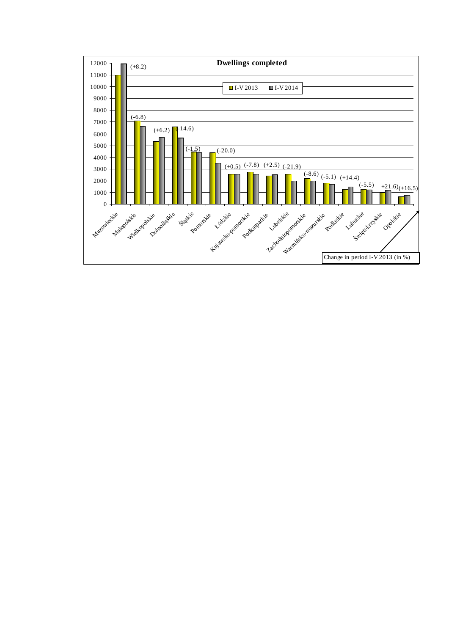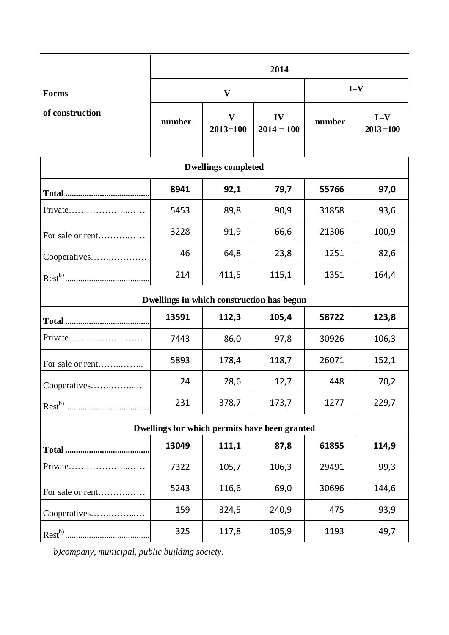|                                               | 2014                      |                              |                    |        |                       |
|-----------------------------------------------|---------------------------|------------------------------|--------------------|--------|-----------------------|
| Forms                                         | $\boldsymbol{\mathrm{V}}$ |                              | $I-V$              |        |                       |
| of construction                               | number                    | $\mathbf{V}$<br>$2013 = 100$ | IV<br>$2014 = 100$ | number | $I-V$<br>$2013 = 100$ |
| <b>Dwellings completed</b>                    |                           |                              |                    |        |                       |
|                                               | 8941                      | 92,1                         | 79,7               | 55766  | 97,0                  |
| Private                                       | 5453                      | 89,8                         | 90,9               | 31858  | 93,6                  |
| For sale or rent                              | 3228                      | 91,9                         | 66,6               | 21306  | 100,9                 |
| Cooperatives                                  | 46                        | 64,8                         | 23,8               | 1251   | 82,6                  |
|                                               | 214                       | 411,5                        | 115,1              | 1351   | 164,4                 |
| Dwellings in which construction has begun     |                           |                              |                    |        |                       |
|                                               | 13591                     | 112,3                        | 105,4              | 58722  | 123,8                 |
| Private                                       | 7443                      | 86,0                         | 97,8               | 30926  | 106,3                 |
| For sale or rent                              | 5893                      | 178,4                        | 118,7              | 26071  | 152,1                 |
| Cooperatives                                  | 24                        | 28,6                         | 12,7               | 448    | 70,2                  |
|                                               | 231                       | 378,7                        | 173,7              | 1277   | 229,7                 |
| Dwellings for which permits have been granted |                           |                              |                    |        |                       |
|                                               | 13049                     | 111,1                        | 87,8               | 61855  | 114,9                 |
| Private                                       | 7322                      | 105,7                        | 106,3              | 29491  | 99,3                  |
| For sale or rent                              | 5243                      | 116,6                        | 69,0               | 30696  | 144,6                 |
| Cooperatives                                  | 159                       | 324,5                        | 240,9              | 475    | 93,9                  |
|                                               | 325                       | 117,8                        | 105,9              | 1193   | 49,7                  |

*b)company, municipal, public building society.*